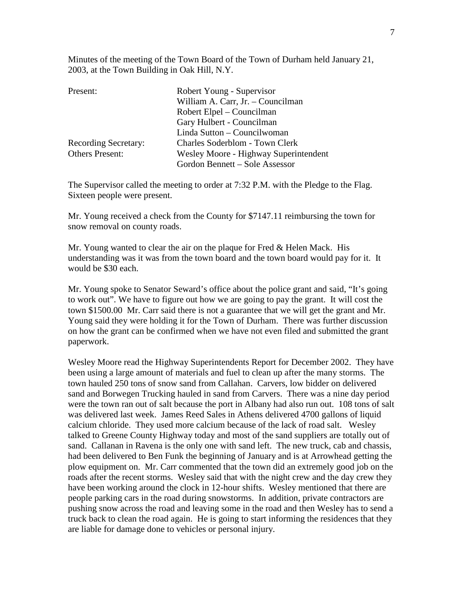Minutes of the meeting of the Town Board of the Town of Durham held January 21, 2003, at the Town Building in Oak Hill, N.Y.

| Present:                    | Robert Young - Supervisor             |  |
|-----------------------------|---------------------------------------|--|
|                             | William A. Carr, Jr. - Councilman     |  |
|                             | Robert Elpel – Councilman             |  |
|                             | Gary Hulbert - Councilman             |  |
|                             | Linda Sutton – Councilwoman           |  |
| <b>Recording Secretary:</b> | <b>Charles Soderblom - Town Clerk</b> |  |
| <b>Others Present:</b>      | Wesley Moore - Highway Superintendent |  |
|                             | Gordon Bennett – Sole Assessor        |  |

The Supervisor called the meeting to order at 7:32 P.M. with the Pledge to the Flag. Sixteen people were present.

Mr. Young received a check from the County for \$7147.11 reimbursing the town for snow removal on county roads.

Mr. Young wanted to clear the air on the plaque for Fred & Helen Mack. His understanding was it was from the town board and the town board would pay for it. It would be \$30 each.

Mr. Young spoke to Senator Seward's office about the police grant and said, "It's going to work out". We have to figure out how we are going to pay the grant. It will cost the town \$1500.00 Mr. Carr said there is not a guarantee that we will get the grant and Mr. Young said they were holding it for the Town of Durham. There was further discussion on how the grant can be confirmed when we have not even filed and submitted the grant paperwork.

Wesley Moore read the Highway Superintendents Report for December 2002. They have been using a large amount of materials and fuel to clean up after the many storms. The town hauled 250 tons of snow sand from Callahan. Carvers, low bidder on delivered sand and Borwegen Trucking hauled in sand from Carvers. There was a nine day period were the town ran out of salt because the port in Albany had also run out. 108 tons of salt was delivered last week. James Reed Sales in Athens delivered 4700 gallons of liquid calcium chloride. They used more calcium because of the lack of road salt. Wesley talked to Greene County Highway today and most of the sand suppliers are totally out of sand. Callanan in Ravena is the only one with sand left. The new truck, cab and chassis, had been delivered to Ben Funk the beginning of January and is at Arrowhead getting the plow equipment on. Mr. Carr commented that the town did an extremely good job on the roads after the recent storms. Wesley said that with the night crew and the day crew they have been working around the clock in 12-hour shifts. Wesley mentioned that there are people parking cars in the road during snowstorms. In addition, private contractors are pushing snow across the road and leaving some in the road and then Wesley has to send a truck back to clean the road again. He is going to start informing the residences that they are liable for damage done to vehicles or personal injury.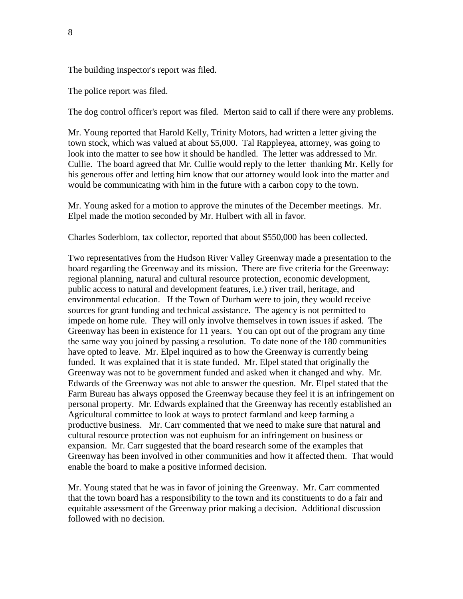The building inspector's report was filed.

The police report was filed.

The dog control officer's report was filed. Merton said to call if there were any problems.

Mr. Young reported that Harold Kelly, Trinity Motors, had written a letter giving the town stock, which was valued at about \$5,000. Tal Rappleyea, attorney, was going to look into the matter to see how it should be handled. The letter was addressed to Mr. Cullie. The board agreed that Mr. Cullie would reply to the letter thanking Mr. Kelly for his generous offer and letting him know that our attorney would look into the matter and would be communicating with him in the future with a carbon copy to the town.

Mr. Young asked for a motion to approve the minutes of the December meetings. Mr. Elpel made the motion seconded by Mr. Hulbert with all in favor.

Charles Soderblom, tax collector, reported that about \$550,000 has been collected.

Two representatives from the Hudson River Valley Greenway made a presentation to the board regarding the Greenway and its mission. There are five criteria for the Greenway: regional planning, natural and cultural resource protection, economic development, public access to natural and development features, i.e.) river trail, heritage, and environmental education. If the Town of Durham were to join, they would receive sources for grant funding and technical assistance. The agency is not permitted to impede on home rule. They will only involve themselves in town issues if asked. The Greenway has been in existence for 11 years. You can opt out of the program any time the same way you joined by passing a resolution. To date none of the 180 communities have opted to leave. Mr. Elpel inquired as to how the Greenway is currently being funded. It was explained that it is state funded. Mr. Elpel stated that originally the Greenway was not to be government funded and asked when it changed and why. Mr. Edwards of the Greenway was not able to answer the question. Mr. Elpel stated that the Farm Bureau has always opposed the Greenway because they feel it is an infringement on personal property. Mr. Edwards explained that the Greenway has recently established an Agricultural committee to look at ways to protect farmland and keep farming a productive business. Mr. Carr commented that we need to make sure that natural and cultural resource protection was not euphuism for an infringement on business or expansion. Mr. Carr suggested that the board research some of the examples that Greenway has been involved in other communities and how it affected them. That would enable the board to make a positive informed decision.

Mr. Young stated that he was in favor of joining the Greenway. Mr. Carr commented that the town board has a responsibility to the town and its constituents to do a fair and equitable assessment of the Greenway prior making a decision. Additional discussion followed with no decision.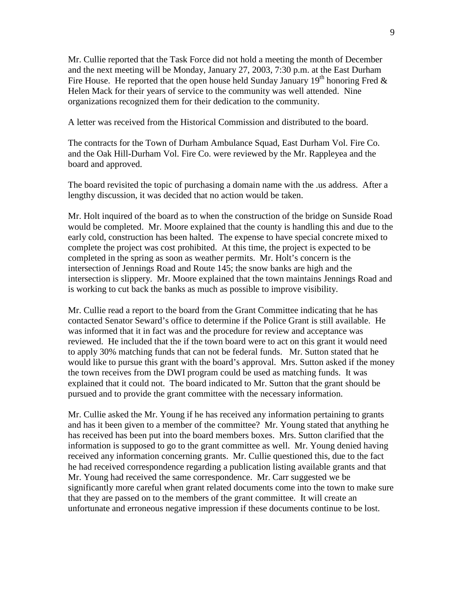Mr. Cullie reported that the Task Force did not hold a meeting the month of December and the next meeting will be Monday, January 27, 2003, 7:30 p.m. at the East Durham Fire House. He reported that the open house held Sunday January 19<sup>th</sup> honoring Fred  $\&$ Helen Mack for their years of service to the community was well attended. Nine organizations recognized them for their dedication to the community.

A letter was received from the Historical Commission and distributed to the board.

The contracts for the Town of Durham Ambulance Squad, East Durham Vol. Fire Co. and the Oak Hill-Durham Vol. Fire Co. were reviewed by the Mr. Rappleyea and the board and approved.

The board revisited the topic of purchasing a domain name with the .us address. After a lengthy discussion, it was decided that no action would be taken.

Mr. Holt inquired of the board as to when the construction of the bridge on Sunside Road would be completed. Mr. Moore explained that the county is handling this and due to the early cold, construction has been halted. The expense to have special concrete mixed to complete the project was cost prohibited. At this time, the project is expected to be completed in the spring as soon as weather permits. Mr. Holt's concern is the intersection of Jennings Road and Route 145; the snow banks are high and the intersection is slippery. Mr. Moore explained that the town maintains Jennings Road and is working to cut back the banks as much as possible to improve visibility.

Mr. Cullie read a report to the board from the Grant Committee indicating that he has contacted Senator Seward's office to determine if the Police Grant is still available. He was informed that it in fact was and the procedure for review and acceptance was reviewed. He included that the if the town board were to act on this grant it would need to apply 30% matching funds that can not be federal funds. Mr. Sutton stated that he would like to pursue this grant with the board's approval. Mrs. Sutton asked if the money the town receives from the DWI program could be used as matching funds. It was explained that it could not. The board indicated to Mr. Sutton that the grant should be pursued and to provide the grant committee with the necessary information.

Mr. Cullie asked the Mr. Young if he has received any information pertaining to grants and has it been given to a member of the committee? Mr. Young stated that anything he has received has been put into the board members boxes. Mrs. Sutton clarified that the information is supposed to go to the grant committee as well. Mr. Young denied having received any information concerning grants. Mr. Cullie questioned this, due to the fact he had received correspondence regarding a publication listing available grants and that Mr. Young had received the same correspondence. Mr. Carr suggested we be significantly more careful when grant related documents come into the town to make sure that they are passed on to the members of the grant committee. It will create an unfortunate and erroneous negative impression if these documents continue to be lost.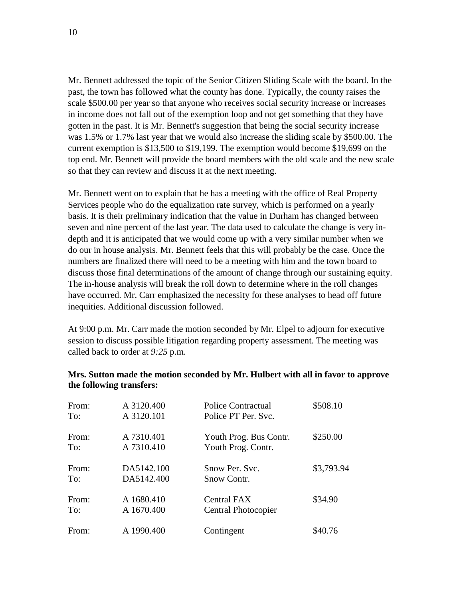Mr. Bennett addressed the topic of the Senior Citizen Sliding Scale with the board. In the past, the town has followed what the county has done. Typically, the county raises the scale \$500.00 per year so that anyone who receives social security increase or increases in income does not fall out of the exemption loop and not get something that they have gotten in the past. It is Mr. Bennett's suggestion that being the social security increase was 1.5% or 1.7% last year that we would also increase the sliding scale by \$500.00. The current exemption is \$13,500 to \$19,199. The exemption would become \$19,699 on the top end. Mr. Bennett will provide the board members with the old scale and the new scale so that they can review and discuss it at the next meeting.

Mr. Bennett went on to explain that he has a meeting with the office of Real Property Services people who do the equalization rate survey, which is performed on a yearly basis. It is their preliminary indication that the value in Durham has changed between seven and nine percent of the last year. The data used to calculate the change is very indepth and it is anticipated that we would come up with a very similar number when we do our in house analysis. Mr. Bennett feels that this will probably be the case. Once the numbers are finalized there will need to be a meeting with him and the town board to discuss those final determinations of the amount of change through our sustaining equity. The in-house analysis will break the roll down to determine where in the roll changes have occurred. Mr. Carr emphasized the necessity for these analyses to head off future inequities. Additional discussion followed.

At 9:00 p.m. Mr. Carr made the motion seconded by Mr. Elpel to adjourn for executive session to discuss possible litigation regarding property assessment. The meeting was called back to order at *9:25* p.m.

| From: | A 3120.400 | Police Contractual     | \$508.10   |
|-------|------------|------------------------|------------|
| To:   | A 3120.101 | Police PT Per. Svc.    |            |
| From: | A 7310.401 | Youth Prog. Bus Contr. | \$250.00   |
| To:   | A 7310.410 | Youth Prog. Contr.     |            |
| From: | DA5142.100 | Snow Per. Svc.         | \$3,793.94 |
| To:   | DA5142.400 | Snow Contr.            |            |
| From: | A 1680.410 | Central FAX            | \$34.90    |
| To:   | A 1670.400 | Central Photocopier    |            |
| From: | A 1990.400 | Contingent             | \$40.76    |

## **Mrs. Sutton made the motion seconded by Mr. Hulbert with all in favor to approve the following transfers:**